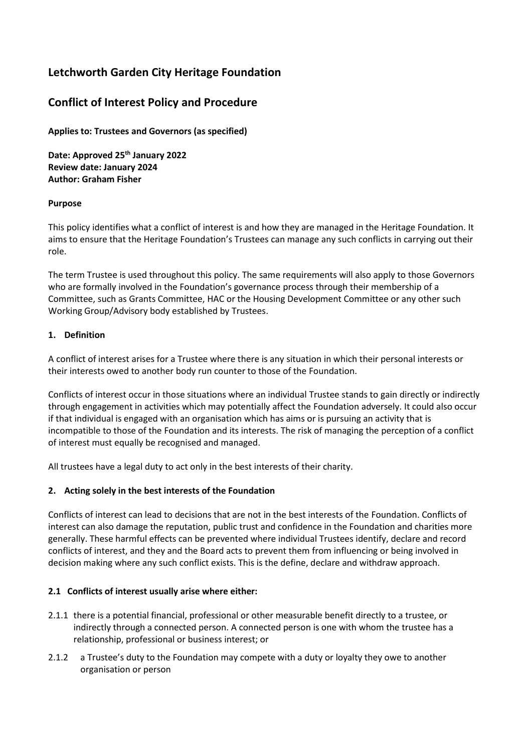# **Letchworth Garden City Heritage Foundation**

# **Conflict of Interest Policy and Procedure**

**Applies to: Trustees and Governors (as specified)** 

**Date: Approved 25th January 2022 Review date: January 2024 Author: Graham Fisher** 

## **Purpose**

This policy identifies what a conflict of interest is and how they are managed in the Heritage Foundation. It aims to ensure that the Heritage Foundation's Trustees can manage any such conflicts in carrying out their role.

The term Trustee is used throughout this policy. The same requirements will also apply to those Governors who are formally involved in the Foundation's governance process through their membership of a Committee, such as Grants Committee, HAC or the Housing Development Committee or any other such Working Group/Advisory body established by Trustees.

## **1. Definition**

A conflict of interest arises for a Trustee where there is any situation in which their personal interests or their interests owed to another body run counter to those of the Foundation.

Conflicts of interest occur in those situations where an individual Trustee stands to gain directly or indirectly through engagement in activities which may potentially affect the Foundation adversely. It could also occur if that individual is engaged with an organisation which has aims or is pursuing an activity that is incompatible to those of the Foundation and its interests. The risk of managing the perception of a conflict of interest must equally be recognised and managed.

All trustees have a legal duty to act only in the best interests of their charity.

## **2. Acting solely in the best interests of the Foundation**

Conflicts of interest can lead to decisions that are not in the best interests of the Foundation. Conflicts of interest can also damage the reputation, public trust and confidence in the Foundation and charities more generally. These harmful effects can be prevented where individual Trustees identify, declare and record conflicts of interest, and they and the Board acts to prevent them from influencing or being involved in decision making where any such conflict exists. This is the define, declare and withdraw approach.

## **2.1 Conflicts of interest usually arise where either:**

- 2.1.1 there is a potential financial, professional or other measurable benefit directly to a trustee, or indirectly through a connected person. A connected person is one with whom the trustee has a relationship, professional or business interest; or
- 2.1.2 a Trustee's duty to the Foundation may compete with a duty or loyalty they owe to another organisation or person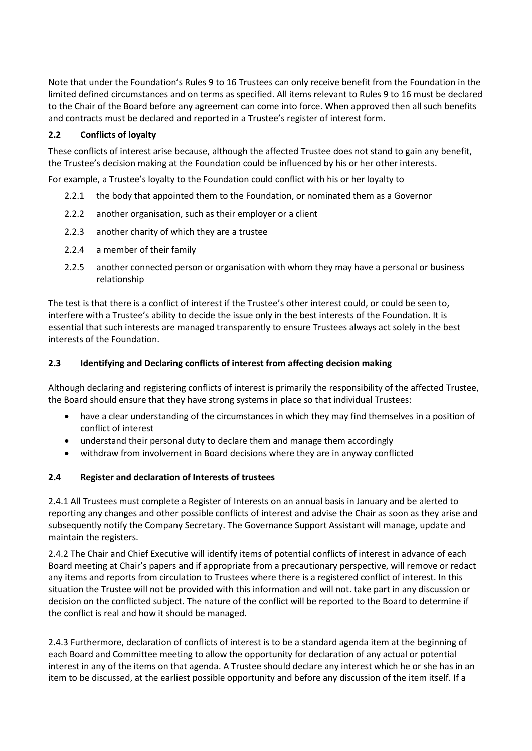Note that under the Foundation's Rules 9 to 16 Trustees can only receive benefit from the Foundation in the limited defined circumstances and on terms as specified. All items relevant to Rules 9 to 16 must be declared to the Chair of the Board before any agreement can come into force. When approved then all such benefits and contracts must be declared and reported in a Trustee's register of interest form.

# **2.2 Conflicts of loyalty**

These conflicts of interest arise because, although the affected Trustee does not stand to gain any benefit, the Trustee's decision making at the Foundation could be influenced by his or her other interests.

For example, a Trustee's loyalty to the Foundation could conflict with his or her loyalty to

- 2.2.1 the body that appointed them to the Foundation, or nominated them as a Governor
- 2.2.2 another organisation, such as their employer or a client
- 2.2.3 another charity of which they are a trustee
- 2.2.4 a member of their family
- 2.2.5 another connected person or organisation with whom they may have a personal or business relationship

The test is that there is a conflict of interest if the Trustee's other interest could, or could be seen to, interfere with a Trustee's ability to decide the issue only in the best interests of the Foundation. It is essential that such interests are managed transparently to ensure Trustees always act solely in the best interests of the Foundation.

# **2.3 Identifying and Declaring conflicts of interest from affecting decision making**

Although declaring and registering conflicts of interest is primarily the responsibility of the affected Trustee, the Board should ensure that they have strong systems in place so that individual Trustees:

- have a clear understanding of the circumstances in which they may find themselves in a position of conflict of interest
- understand their personal duty to declare them and manage them accordingly
- withdraw from involvement in Board decisions where they are in anyway conflicted

# **2.4 Register and declaration of Interests of trustees**

2.4.1 All Trustees must complete a Register of Interests on an annual basis in January and be alerted to reporting any changes and other possible conflicts of interest and advise the Chair as soon as they arise and subsequently notify the Company Secretary. The Governance Support Assistant will manage, update and maintain the registers.

2.4.2 The Chair and Chief Executive will identify items of potential conflicts of interest in advance of each Board meeting at Chair's papers and if appropriate from a precautionary perspective, will remove or redact any items and reports from circulation to Trustees where there is a registered conflict of interest. In this situation the Trustee will not be provided with this information and will not. take part in any discussion or decision on the conflicted subject. The nature of the conflict will be reported to the Board to determine if the conflict is real and how it should be managed.

2.4.3 Furthermore, declaration of conflicts of interest is to be a standard agenda item at the beginning of each Board and Committee meeting to allow the opportunity for declaration of any actual or potential interest in any of the items on that agenda. A Trustee should declare any interest which he or she has in an item to be discussed, at the earliest possible opportunity and before any discussion of the item itself. If a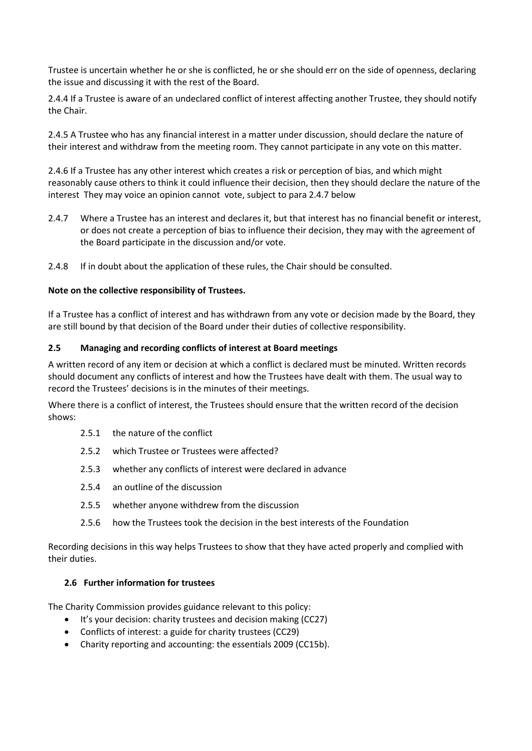Trustee is uncertain whether he or she is conflicted, he or she should err on the side of openness, declaring the issue and discussing it with the rest of the Board.

2.4.4 If a Trustee is aware of an undeclared conflict of interest affecting another Trustee, they should notify the Chair.

2.4.5 A Trustee who has any financial interest in a matter under discussion, should declare the nature of their interest and withdraw from the meeting room. They cannot participate in any vote on this matter.

2.4.6 If a Trustee has any other interest which creates a risk or perception of bias, and which might reasonably cause others to think it could influence their decision, then they should declare the nature of the interest They may voice an opinion cannot vote, subject to para 2.4.7 below

- 2.4.7 Where a Trustee has an interest and declares it, but that interest has no financial benefit or interest, or does not create a perception of bias to influence their decision, they may with the agreement of the Board participate in the discussion and/or vote.
- 2.4.8 If in doubt about the application of these rules, the Chair should be consulted.

#### **Note on the collective responsibility of Trustees.**

If a Trustee has a conflict of interest and has withdrawn from any vote or decision made by the Board, they are still bound by that decision of the Board under their duties of collective responsibility.

#### **2.5 Managing and recording conflicts of interest at Board meetings**

A written record of any item or decision at which a conflict is declared must be minuted. Written records should document any conflicts of interest and how the Trustees have dealt with them. The usual way to record the Trustees' decisions is in the minutes of their meetings.

Where there is a conflict of interest, the Trustees should ensure that the written record of the decision shows:

- 2.5.1 the nature of the conflict
- 2.5.2 which Trustee or Trustees were affected?
- 2.5.3 whether any conflicts of interest were declared in advance
- 2.5.4 an outline of the discussion
- 2.5.5 whether anyone withdrew from the discussion
- 2.5.6 how the Trustees took the decision in the best interests of the Foundation

Recording decisions in this way helps Trustees to show that they have acted properly and complied with their duties.

#### **2.6 Further information for trustees**

The Charity Commission provides guidance relevant to this policy:

- It's your decision: charity trustees and decision making (CC27)
- Conflicts of interest: a guide for charity trustees (CC29)
- Charity reporting and accounting: the essentials 2009 (CC15b).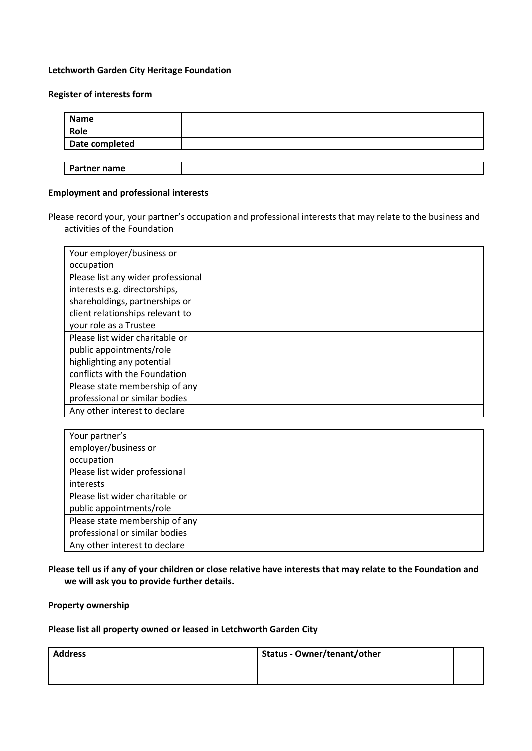#### **Letchworth Garden City Heritage Foundation**

#### **Register of interests form**

| <b>Name</b>         |  |
|---------------------|--|
| Role                |  |
| Date completed      |  |
|                     |  |
| <b>Partner name</b> |  |

#### **Employment and professional interests**

Please record your, your partner's occupation and professional interests that may relate to the business and activities of the Foundation

| Your employer/business or          |  |
|------------------------------------|--|
| occupation                         |  |
| Please list any wider professional |  |
| interests e.g. directorships,      |  |
| shareholdings, partnerships or     |  |
| client relationships relevant to   |  |
| your role as a Trustee             |  |
| Please list wider charitable or    |  |
| public appointments/role           |  |
| highlighting any potential         |  |
| conflicts with the Foundation      |  |
| Please state membership of any     |  |
| professional or similar bodies     |  |
| Any other interest to declare      |  |

| Your partner's                  |  |
|---------------------------------|--|
| employer/business or            |  |
| occupation                      |  |
| Please list wider professional  |  |
| interests                       |  |
| Please list wider charitable or |  |
| public appointments/role        |  |
| Please state membership of any  |  |
| professional or similar bodies  |  |
| Any other interest to declare   |  |

### **Please tell us if any of your children or close relative have interests that may relate to the Foundation and we will ask you to provide further details.**

**Property ownership**

## **Please list all property owned or leased in Letchworth Garden City**

| <b>Address</b> | <b>Status - Owner/tenant/other</b> |  |
|----------------|------------------------------------|--|
|                |                                    |  |
|                |                                    |  |